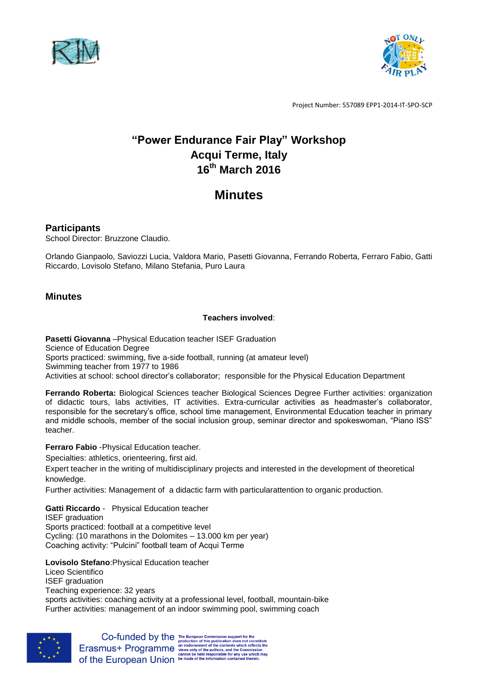



# **"Power Endurance Fair Play" Workshop Acqui Terme, Italy 16th March 2016**

# **Minutes**

# **Participants**

School Director: Bruzzone Claudio.

Orlando Gianpaolo, Saviozzi Lucia, Valdora Mario, Pasetti Giovanna, Ferrando Roberta, Ferraro Fabio, Gatti Riccardo, Lovisolo Stefano, Milano Stefania, Puro Laura

# **Minutes**

## **Teachers involved**:

**Pasetti Giovanna** –Physical Education teacher ISEF Graduation Science of Education Degree Sports practiced: swimming, five a-side football, running (at amateur level) Swimming teacher from 1977 to 1986 Activities at school: school director's collaborator; responsible for the Physical Education Department

**Ferrando Roberta:** Biological Sciences teacher Biological Sciences Degree Further activities: organization of didactic tours, labs activities, IT activities. Extra-curricular activities as headmaster's collaborator, responsible for the secretary's office, school time management, Environmental Education teacher in primary and middle schools, member of the social inclusion group, seminar director and spokeswoman, "Piano ISS" teacher.

**Ferraro Fabio** -Physical Education teacher.

Specialties: athletics, orienteering, first aid.

Expert teacher in the writing of multidisciplinary projects and interested in the development of theoretical knowledge.

Further activities: Management of a didactic farm with particularattention to organic production.

**Gatti Riccardo** - Physical Education teacher

ISEF graduation Sports practiced: football at a competitive level Cycling: (10 marathons in the Dolomites – 13.000 km per year) Coaching activity: "Pulcini" football team of Acqui Terme

**Lovisolo Stefano**:Physical Education teacher

Liceo Scientifico ISEF graduation Teaching experience: 32 years sports activities: coaching activity at a professional level, football, mountain-bike Further activities: management of an indoor swimming pool, swimming coach



 $\textbf{Co-fundred by the The European Commission support for the production of this publication does not constitute \textbf{E} rasmus+ \textbf{Program} me \textbf{ a} end for semantic to the contents which reflection for the Chemission \textbf{c} cannot be held responsible for any use which may \textbf{co} the **European Union** be made of the information contained therein.$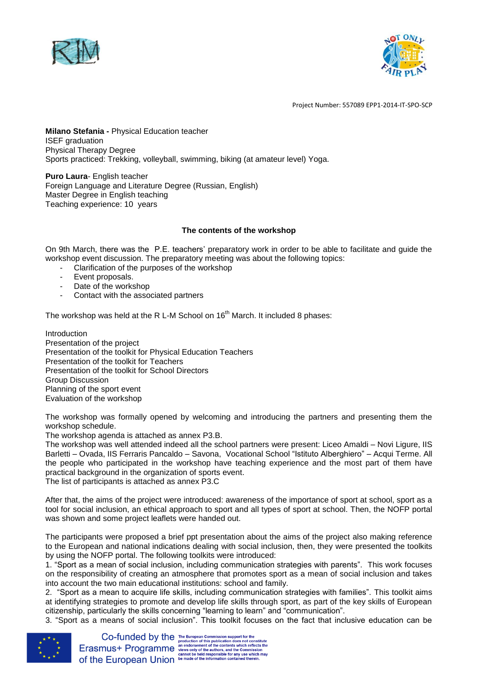



**Milano Stefania -** Physical Education teacher ISEF graduation Physical Therapy Degree Sports practiced: Trekking, volleyball, swimming, biking (at amateur level) Yoga.

**Puro Laura**- English teacher Foreign Language and Literature Degree (Russian, English) Master Degree in English teaching Teaching experience: 10 years

#### **The contents of the workshop**

On 9th March, there was the P.E. teachers' preparatory work in order to be able to facilitate and guide the workshop event discussion. The preparatory meeting was about the following topics:

- Clarification of the purposes of the workshop
- Event proposals.
- Date of the workshop
- Contact with the associated partners

The workshop was held at the R L-M School on  $16<sup>th</sup>$  March. It included 8 phases:

Introduction Presentation of the project Presentation of the toolkit for Physical Education Teachers Presentation of the toolkit for Teachers Presentation of the toolkit for School Directors Group Discussion Planning of the sport event Evaluation of the workshop

The workshop was formally opened by welcoming and introducing the partners and presenting them the workshop schedule.

The workshop agenda is attached as annex P3.B.

The workshop was well attended indeed all the school partners were present: Liceo Amaldi – Novi Ligure, IIS Barletti – Ovada, IIS Ferraris Pancaldo – Savona, Vocational School "Istituto Alberghiero" – Acqui Terme. All the people who participated in the workshop have teaching experience and the most part of them have practical background in the organization of sports event.

The list of participants is attached as annex P3.C

After that, the aims of the project were introduced: awareness of the importance of sport at school, sport as a tool for social inclusion, an ethical approach to sport and all types of sport at school. Then, the NOFP portal was shown and some project leaflets were handed out.

The participants were proposed a brief ppt presentation about the aims of the project also making reference to the European and national indications dealing with social inclusion, then, they were presented the toolkits by using the NOFP portal. The following toolkits were introduced:

1. "Sport as a mean of social inclusion, including communication strategies with parents". This work focuses on the responsibility of creating an atmosphere that promotes sport as a mean of social inclusion and takes into account the two main educational institutions: school and family.

2. "Sport as a mean to acquire life skills, including communication strategies with families". This toolkit aims at identifying strategies to promote and develop life skills through sport, as part of the key skills of European citizenship, particularly the skills concerning "learning to learn" and "communication".

3. "Sport as a means of social inclusion". This toolkit focuses on the fact that inclusive education can be

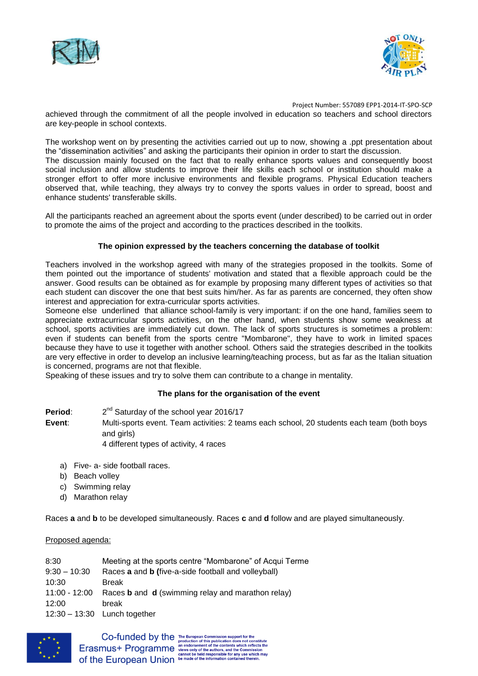



achieved through the commitment of all the people involved in education so teachers and school directors are key-people in school contexts.

The workshop went on by presenting the activities carried out up to now, showing a .ppt presentation about the "dissemination activities" and asking the participants their opinion in order to start the discussion.

The discussion mainly focused on the fact that to really enhance sports values and consequently boost social inclusion and allow students to improve their life skills each school or institution should make a stronger effort to offer more inclusive environments and flexible programs. Physical Education teachers observed that, while teaching, they always try to convey the sports values in order to spread, boost and enhance students' transferable skills.

All the participants reached an agreement about the sports event (under described) to be carried out in order to promote the aims of the project and according to the practices described in the toolkits.

## **The opinion expressed by the teachers concerning the database of toolkit**

Teachers involved in the workshop agreed with many of the strategies proposed in the toolkits. Some of them pointed out the importance of students' motivation and stated that a flexible approach could be the answer. Good results can be obtained as for example by proposing many different types of activities so that each student can discover the one that best suits him/her. As far as parents are concerned, they often show interest and appreciation for extra-curricular sports activities.

Someone else underlined that alliance school-family is very important: if on the one hand, families seem to appreciate extracurricular sports activities, on the other hand, when students show some weakness at school, sports activities are immediately cut down. The lack of sports structures is sometimes a problem: even if students can benefit from the sports centre "Mombarone", they have to work in limited spaces because they have to use it together with another school. Others said the strategies described in the toolkits are very effective in order to develop an inclusive learning/teaching process, but as far as the Italian situation is concerned, programs are not that flexible.

Speaking of these issues and try to solve them can contribute to a change in mentality.

### **The plans for the organisation of the event**

- **Period**: 2 2<sup>nd</sup> Saturday of the school year 2016/17
- **Event**: Multi-sports event. Team activities: 2 teams each school, 20 students each team (both boys and girls)
	- 4 different types of activity, 4 races
	- a) Five- a- side football races.
	- b) Beach volley
	- c) Swimming relay
	- d) Marathon relay

Races **a** and **b** to be developed simultaneously. Races **c** and **d** follow and are played simultaneously.

#### Proposed agenda:

| Meeting at the sports centre "Mombarone" of Acqui Terme                       |
|-------------------------------------------------------------------------------|
| Races <b>a</b> and <b>b</b> (five-a-side football and volleyball)             |
| <b>Break</b>                                                                  |
| 11:00 - 12:00 Races <b>b</b> and <b>d</b> (swimming relay and marathon relay) |
| break                                                                         |
| $12:30 - 13:30$ Lunch together                                                |
|                                                                               |